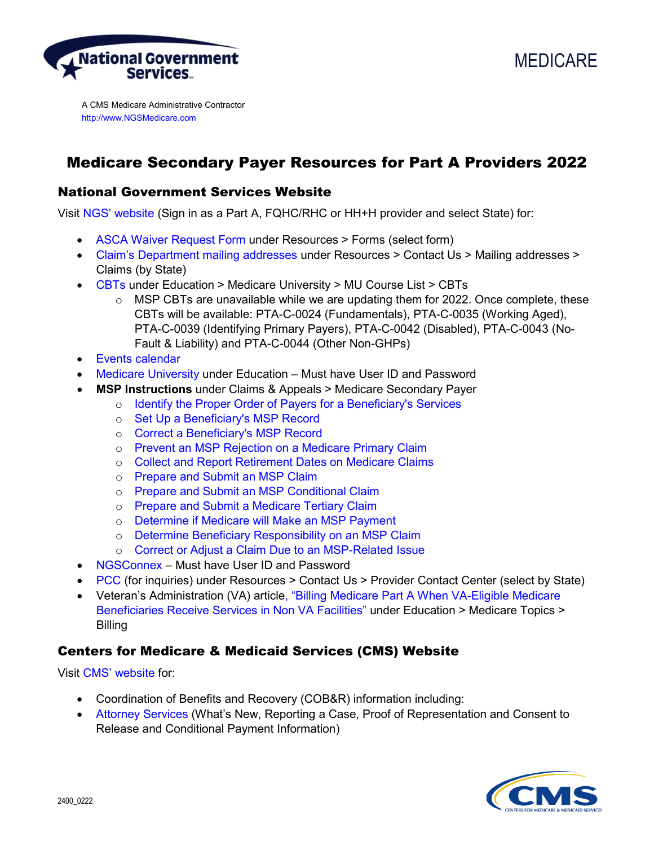



A CMS Medicare Administrative Contractor [http://www.NGSMedicare.com](http://www.ngsmedicare.com/)

## Medicare Secondary Payer Resources for Part A Providers 2022

## National Government Services Website

Visit [NGS' website](https://www.ngsmedicare.com/NGS_LandingPage/) (Sign in as a Part A, FQHC/RHC or HH+H provider and select State) for:

- [ASCA Waiver Request Form](https://www.ngsmedicare.com/web/ngs/forms?lob=93617&state=97256®ion=93623) under Resources > Forms (select form)
- [Claim's Department mailing addresses](https://www.ngsmedicare.com/web/ngs/contact-details?artid=248271&artfid=248268&lob=93617&state=97256®ion=93623) under Resources > Contact Us > Mailing addresses > Claims (by State)
- [CBTs](https://www.ngsmedicare.com/web/ngs/contact-details?artid=248271&artfid=248268&lob=93617&state=97256®ion=93623) under Education > Medicare University > MU Course List > CBTs
	- $\circ$  MSP CBTs are unavailable while we are updating them for 2022. Once complete, these CBTs will be available: PTA-C-0024 (Fundamentals), PTA-C-0035 (Working Aged), PTA-C-0039 (Identifying Primary Payers), PTA-C-0042 (Disabled), PTA-C-0043 (No-Fault & Liability) and PTA-C-0044 (Other Non-GHPs)
- [Events calendar](https://www.ngsmedicare.com/web/ngs/events?lob=93617&state=97256®ion=93623)
- [Medicare University](https://www.ngsmedicare.com/web/ngs/medicare-university?selectedArticleId=1283351&lob=93617&state=97256®ion=93623) under Education Must have User ID and Password
- **MSP Instructions** under Claims & Appeals > Medicare Secondary Payer
	- o [Identify the Proper Order of Payers for a Beneficiary's Services](https://www.ngsmedicare.com/web/ngs/medicare-secondary-payer-msp-?selectedArticleId=1079153&lob=93617&state=97256®ion=93623)
	- o [Set Up a Beneficiary's MSP Record](https://www.ngsmedicare.com/web/ngs/medicare-secondary-payer-msp-?selectedArticleId=2101081&lob=93617&state=97256®ion=93623)
	- o [Correct a Beneficiary's MSP Record](https://www.ngsmedicare.com/web/ngs/medicare-secondary-payer-msp-?selectedArticleId=2106970&lob=93617&state=97256®ion=93623)
	- o [Prevent an MSP Rejection on a Medicare Primary Claim](https://www.ngsmedicare.com/web/ngs/medicare-secondary-payer-msp-?selectedArticleId=2108672&lob=93617&state=97256®ion=93623)
	- o [Collect and Report Retirement Dates on Medicare Claims](https://www.ngsmedicare.com/web/ngs/medicare-secondary-payer-msp-?selectedArticleId=2092164&lob=93617&state=97256®ion=93623)
	- o [Prepare and Submit an MSP Claim](https://www.ngsmedicare.com/web/ngs/medicare-secondary-payer-msp-?selectedArticleId=1028392&lob=93617&state=97256®ion=93623)
	- o [Prepare and Submit an MSP Conditional Claim](https://www.ngsmedicare.com/web/ngs/medicare-secondary-payer-msp-?selectedArticleId=1619260&lob=93617&state=97256®ion=93623)
	- o [Prepare and Submit a Medicare Tertiary Claim](https://www.ngsmedicare.com/web/ngs/medicare-secondary-payer-msp-?selectedArticleId=401727&lob=93617&state=97256®ion=93623)
	- o [Determine if Medicare will Make an MSP Payment](https://www.ngsmedicare.com/web/ngs/medicare-secondary-payer-msp-?selectedArticleId=2013568&lob=93617&state=97256®ion=93623)
	- o [Determine Beneficiary Responsibility on an MSP Claim](https://www.ngsmedicare.com/web/ngs/medicare-secondary-payer-msp-?selectedArticleId=891730&lob=93617&state=97256®ion=93623)
	- o [Correct or Adjust a Claim Due to an MSP-Related Issue](https://www.ngsmedicare.com/web/ngs/medicare-secondary-payer-msp-?selectedArticleId=215203&lob=93617&state=97256®ion=93623)
- [NGSConnex](https://www.ngsmedicare.com/web/ngs/ngsconnex?selectedArticleId=3727873&lob=93617&state=97256®ion=93623)  Must have User ID and Password
- [PCC](https://www.ngsmedicare.com/web/ngs/contact-details?artid=248181&artfid=248178&lob=93617&state=97256®ion=93623) (for inquiries) under Resources > Contact Us > Provider Contact Center (select by State)
- Veteran's Administration (VA) article, "Billing Medicare Part A When VA-Eligible Medicare Beneficiaries Receive Services in Non VA Facilities" under Education > Medicare Topics > Billing

## Centers for Medicare & Medicaid Services (CMS) Website

Visit [CMS' website](https://www.cms.gov/) for:

- Coordination of Benefits and Recovery (COB&R) information including:
- [Attorney Services](https://www.cms.gov/Medicare/Coordination-of-Benefits-and-Recovery/Attorney-Services/Attorney-Services) (What's New, Reporting a Case, Proof of Representation and Consent to Release and Conditional Payment Information)

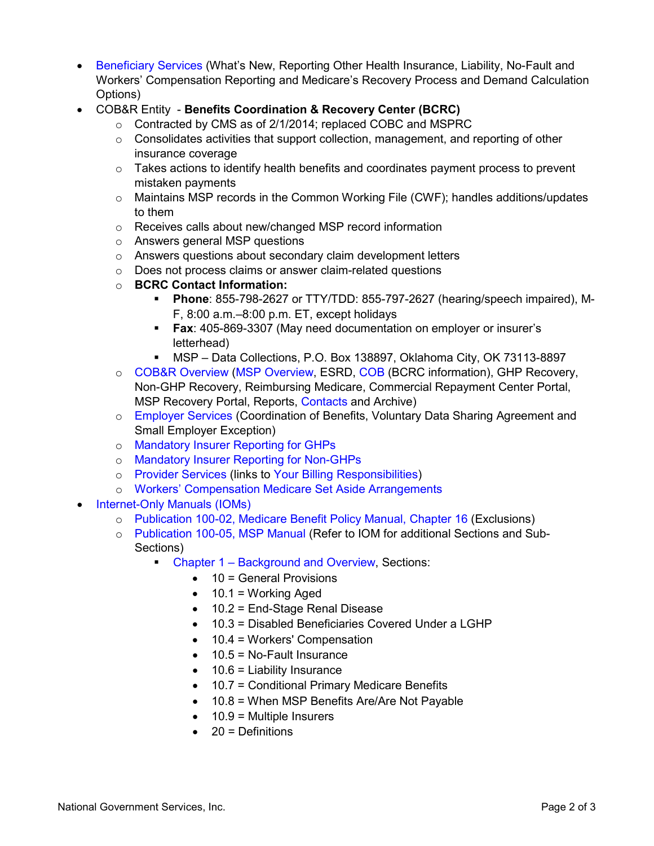- [Beneficiary Services](https://www.cms.gov/Medicare/Coordination-of-Benefits-and-Recovery/Beneficiary-Services/Overview) (What's New, Reporting Other Health Insurance, Liability, No-Fault and Workers' Compensation Reporting and Medicare's Recovery Process and Demand Calculation Options)
- COB&R Entity **Benefits Coordination & Recovery Center (BCRC)**
	- o Contracted by CMS as of 2/1/2014; replaced COBC and MSPRC
	- $\circ$  Consolidates activities that support collection, management, and reporting of other insurance coverage
	- $\circ$  Takes actions to identify health benefits and coordinates payment process to prevent mistaken payments
	- $\circ$  Maintains MSP records in the Common Working File (CWF); handles additions/updates to them
	- o Receives calls about new/changed MSP record information
	- o Answers general MSP questions
	- o Answers questions about secondary claim development letters
	- o Does not process claims or answer claim-related questions
	- o **BCRC Contact Information:**
		- **Phone**: 855-798-2627 or TTY/TDD: 855-797-2627 (hearing/speech impaired), M-F, 8:00 a.m.–8:00 p.m. ET, except holidays
		- **Fax**: 405-869-3307 (May need documentation on employer or insurer's letterhead)
		- MSP Data Collections, P.O. Box 138897, Oklahoma City, OK 73113-8897
	- o [COB&R Overview](https://www.cms.gov/Medicare/Coordination-of-Benefits-and-Recovery/Coordination-of-Benefits-and-Recovery-Overview/Overview) [\(MSP Overview,](https://www.cms.gov/Medicare/Coordination-of-Benefits-and-Recovery/Coordination-of-Benefits-and-Recovery-Overview/Medicare-Secondary-Payer/Medicare-Secondary-Payer) ESRD, [COB](https://www.cms.gov/Medicare/Coordination-of-Benefits-and-Recovery/Coordination-of-Benefits-and-Recovery-Overview/Coordination-of-Benefits/Coordination-of-Benefits) (BCRC information), GHP Recovery, Non-GHP Recovery, Reimbursing Medicare, Commercial Repayment Center Portal, MSP Recovery Portal, Reports, [Contacts](https://www.cms.gov/Medicare/Coordination-of-Benefits-and-Recovery/Coordination-of-Benefits-and-Recovery-Overview/Contacts/Contacts-page) and Archive)
	- o [Employer Services](https://www.cms.gov/medicare/coordination-of-benefits-and-recovery/employerservices) (Coordination of Benefits, Voluntary Data Sharing Agreement and Small Employer Exception)
	- o [Mandatory Insurer Reporting for GHPs](https://www.cms.gov/Medicare/Coordination-of-Benefits-and-Recovery/Mandatory-Insurer-Reporting-For-Group-Health-Plans/Overview)
	- o [Mandatory Insurer Reporting for Non-GHPs](https://www.cms.gov/Medicare/Coordination-of-Benefits-and-Recovery/Mandatory-Insurer-Reporting-For-Non-Group-Health-Plans/Overview)
	- o [Provider Services](https://www.cms.gov/medicare/coordination-of-benefits-and-recovery/providerservices) (links to [Your Billing Responsibilities\)](https://www.cms.gov/Medicare/Coordination-of-Benefits-and-Recovery/ProviderServices/Your-Billing-Responsibilities)
	- o [Workers' Compensation Medicare Set Aside Arrangements](https://www.cms.gov/Medicare/Coordination-of-Benefits-and-Recovery/Workers-Compensation-Medicare-Set-Aside-Arrangements/WCMSA-Overview)
- [Internet-Only Manuals \(IOMs\)](https://www.cms.gov/Regulations-and-Guidance/Guidance/Manuals/Internet-Only-Manuals-IOMs)
	- o [Publication 100-02, Medicare Benefit Policy Manual, Chapter 16](https://www.cms.gov/Regulations-and-Guidance/Guidance/Manuals/Downloads/bp102c16.pdf) (Exclusions)
	- o [Publication 100-05, MSP Manual](https://www.cms.gov/Regulations-and-Guidance/Guidance/Manuals/Internet-Only-Manuals-IOMs-Items/CMS019017) (Refer to IOM for additional Sections and Sub-Sections)
		- [Chapter 1 Background and Overview,](https://www.cms.gov/Regulations-and-Guidance/Guidance/Manuals/Downloads/msp105c01.pdf) Sections:
			- 10 = General Provisions
			- $\bullet$  10.1 = Working Aged
			- 10.2 = End-Stage Renal Disease
			- 10.3 = Disabled Beneficiaries Covered Under a LGHP
			- 10.4 = Workers' Compensation
			- $\bullet$  10.5 = No-Fault Insurance
			- $\bullet$  10.6 = Liability Insurance
			- 10.7 = Conditional Primary Medicare Benefits
			- 10.8 = When MSP Benefits Are/Are Not Payable
			- $\bullet$  10.9 = Multiple Insurers
			- $\bullet$  20 = Definitions